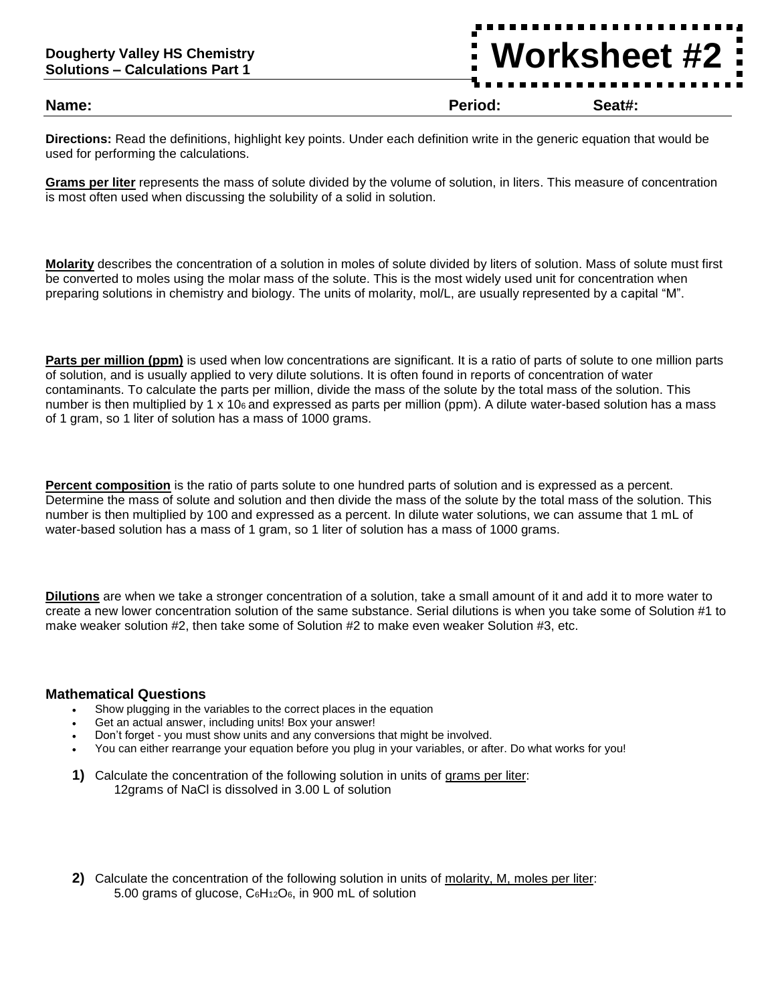## **Dougherty Valley HS Chemistry Solutions – Calculations Part 1**

**Name: Period: Seat#:**

**Worksheet #2**

**Directions:** Read the definitions, highlight key points. Under each definition write in the generic equation that would be used for performing the calculations.

**Grams per liter** represents the mass of solute divided by the volume of solution, in liters. This measure of concentration is most often used when discussing the solubility of a solid in solution.

**Molarity** describes the concentration of a solution in moles of solute divided by liters of solution. Mass of solute must first be converted to moles using the molar mass of the solute. This is the most widely used unit for concentration when preparing solutions in chemistry and biology. The units of molarity, mol/L, are usually represented by a capital "M".

**Parts per million (ppm)** is used when low concentrations are significant. It is a ratio of parts of solute to one million parts of solution, and is usually applied to very dilute solutions. It is often found in reports of concentration of water contaminants. To calculate the parts per million, divide the mass of the solute by the total mass of the solution. This number is then multiplied by 1 x 106 and expressed as parts per million (ppm). A dilute water-based solution has a mass of 1 gram, so 1 liter of solution has a mass of 1000 grams.

**Percent composition** is the ratio of parts solute to one hundred parts of solution and is expressed as a percent. Determine the mass of solute and solution and then divide the mass of the solute by the total mass of the solution. This number is then multiplied by 100 and expressed as a percent. In dilute water solutions, we can assume that 1 mL of water-based solution has a mass of 1 gram, so 1 liter of solution has a mass of 1000 grams.

**Dilutions** are when we take a stronger concentration of a solution, take a small amount of it and add it to more water to create a new lower concentration solution of the same substance. Serial dilutions is when you take some of Solution #1 to make weaker solution #2, then take some of Solution #2 to make even weaker Solution #3, etc.

## **Mathematical Questions**

- Show plugging in the variables to the correct places in the equation
- Get an actual answer, including units! Box your answer!
- Don't forget you must show units and any conversions that might be involved.
- You can either rearrange your equation before you plug in your variables, or after. Do what works for you!
- **1)** Calculate the concentration of the following solution in units of grams per liter: 12grams of NaCl is dissolved in 3.00 L of solution
- **2)** Calculate the concentration of the following solution in units of molarity, M, moles per liter: 5.00 grams of glucose,  $C_6H_{12}O_6$ , in 900 mL of solution